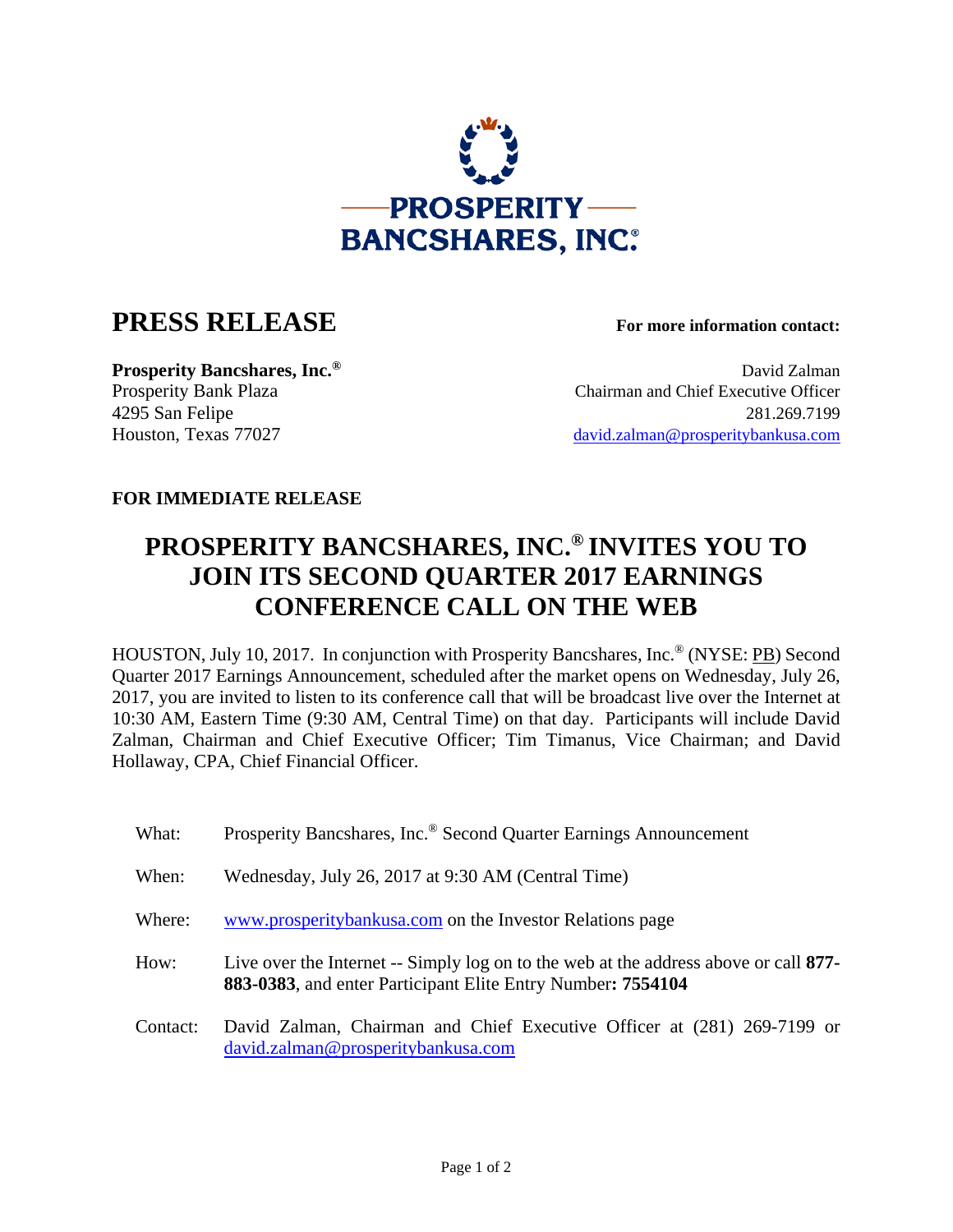

## **PRESS RELEASE For more information contact:**

**Prosperity Bancshares, Inc.<sup>®</sup> David Zalman** Prosperity Bank Plaza Chairman and Chief Executive Officer 4295 San Felipe 281.269.7199 Houston, Texas 77027 david.zalman@prosperitybankusa.com

## **FOR IMMEDIATE RELEASE**

## **PROSPERITY BANCSHARES, INC.® INVITES YOU TO JOIN ITS SECOND QUARTER 2017 EARNINGS CONFERENCE CALL ON THE WEB**

HOUSTON, July 10, 2017. In conjunction with Prosperity Bancshares, Inc.® (NYSE: PB) Second Quarter 2017 Earnings Announcement, scheduled after the market opens on Wednesday, July 26, 2017, you are invited to listen to its conference call that will be broadcast live over the Internet at 10:30 AM, Eastern Time (9:30 AM, Central Time) on that day. Participants will include David Zalman, Chairman and Chief Executive Officer; Tim Timanus, Vice Chairman; and David Hollaway, CPA, Chief Financial Officer.

| What:    | Prosperity Bancshares, Inc. <sup>®</sup> Second Quarter Earnings Announcement                                                                       |
|----------|-----------------------------------------------------------------------------------------------------------------------------------------------------|
| When:    | Wednesday, July 26, 2017 at 9:30 AM (Central Time)                                                                                                  |
| Where:   | www.prosperitybankusa.com on the Investor Relations page                                                                                            |
| How:     | Live over the Internet -- Simply log on to the web at the address above or call 877-<br>883-0383, and enter Participant Elite Entry Number: 7554104 |
| Contact: | David Zalman, Chairman and Chief Executive Officer at (281) 269-7199 or<br>david.zalman@prosperitybankusa.com                                       |